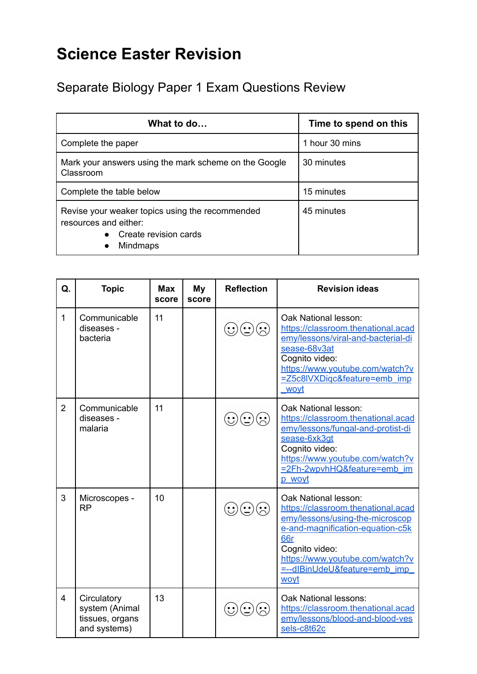## **Science Easter Revision**

Separate Biology Paper 1 Exam Questions Review

| What to do                                                                                                           | Time to spend on this |
|----------------------------------------------------------------------------------------------------------------------|-----------------------|
| Complete the paper                                                                                                   | 1 hour 30 mins        |
| Mark your answers using the mark scheme on the Google<br>Classroom                                                   | 30 minutes            |
| Complete the table below                                                                                             | 15 minutes            |
| Revise your weaker topics using the recommended<br>resources and either:<br>Create revision cards<br><b>Mindmaps</b> | 45 minutes            |

| Q.             | <b>Topic</b>                                                     | <b>Max</b><br>score | <b>My</b><br>score | <b>Reflection</b>   | <b>Revision ideas</b>                                                                                                                                                                                                                 |
|----------------|------------------------------------------------------------------|---------------------|--------------------|---------------------|---------------------------------------------------------------------------------------------------------------------------------------------------------------------------------------------------------------------------------------|
| 1              | Communicable<br>diseases -<br>bacteria                           | 11                  |                    |                     | Oak National lesson:<br>https://classroom.thenational.acad<br>emy/lessons/viral-and-bacterial-di<br>sease-68v3at<br>Cognito video:<br>https://www.youtube.com/watch?v<br>=Z5c8IVXDigc&feature=emb_imp<br>wovt                         |
| $\overline{2}$ | Communicable<br>diseases -<br>malaria                            | 11                  |                    | $\hat{\mathcal{C}}$ | Oak National lesson:<br>https://classroom.thenational.acad<br>emy/lessons/fungal-and-protist-di<br>sease-6xk3qt<br>Cognito video:<br>https://www.youtube.com/watch?v<br>=2Fh-2wpvhHQ&feature=emb_im<br>p woyt                         |
| 3              | Microscopes -<br><b>RP</b>                                       | 10                  |                    |                     | Oak National lesson:<br>https://classroom.thenational.acad<br>emy/lessons/using-the-microscop<br>e-and-magnification-equation-c5k<br>66r<br>Cognito video:<br>https://www.youtube.com/watch?v<br>=--dlBinUdeU&feature=emb_imp<br>woyt |
| 4              | Circulatory<br>system (Animal<br>tissues, organs<br>and systems) | 13                  |                    |                     | Oak National lessons:<br>https://classroom.thenational.acad<br>emy/lessons/blood-and-blood-ves<br>sels-c8t62c                                                                                                                         |